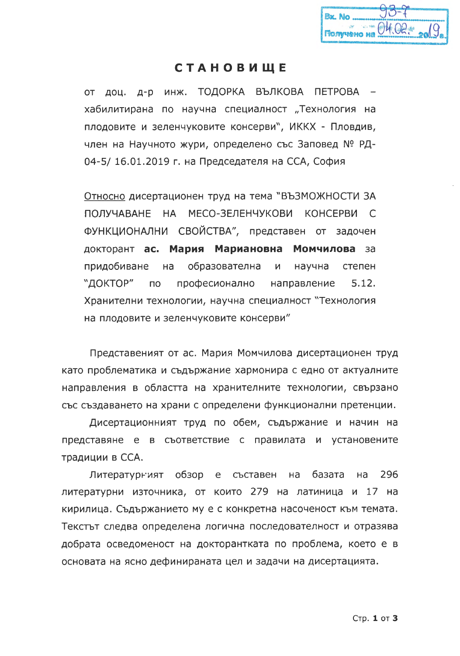| Bx No |                           |
|-------|---------------------------|
|       | Floryveno Ha OH OR : 2019 |

## **СТАНОВИЩЕ**

доц. д-р инж. ТОДОРКА ВЪЛКОВА ПЕТРОВА  $OT$ хабилитирана по научна специалност "Технология на плодовите и зеленчуковите консерви", ИККХ - Пловдив, член на Научното жури, определено със Заповед № РД-04-5/16.01.2019 г. на Председателя на ССА, София

Относно дисертационен труд на тема "ВЪЗМОЖНОСТИ ЗА МЕСО-ЗЕЛЕНЧУКОВИ КОНСЕРВИ С ПОЛУЧАВАНЕ НА ФУНКЦИОНАЛНИ СВОЙСТВА", представен от задочен докторант ас. Мария Мариановна Момчилова за придобиване на образователна И научна степен "ДОКТОР"  $\overline{10}$ професионално направление  $5.12.$ Хранителни технологии, научна специалност "Технология на плодовите и зеленчуковите консерви"

Представеният от ас. Мария Момчилова дисертационен труд като проблематика и съдържание хармонира с едно от актуалните направления в областта на хранителните технологии, свързано със създаването на храни с определени функционални претенции.

Дисертационният труд по обем, съдържание и начин на представяне е в съответствие с правилата и установените традиции в ССА.

Литературният обзор  $e$ съставен базата 296 Ha Ha литературни източника, от които 279 на латиница и 17 на кирилица. Съдържанието му е с конкретна насоченост към темата. Текстът следва определена логична последователност и отразява добрата осведоменост на докторантката по проблема, което е в основата на ясно дефинираната цел и задачи на дисертацията.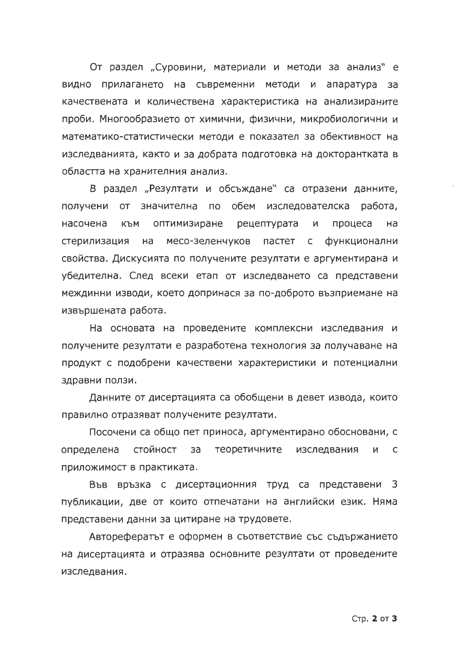От раздел "Суровини, материали и методи за анализ" е видно прилагането на съвременни методи и апаратура за качествената и количествена характеристика на анализираните проби. Многообразието от химични, физични, микробиологични и математико-статистически методи е показател за обективност на изследванията, както и за добрата подготовка на докторантката в областта на хранителния анализ.

В раздел "Резултати и обсъждане" са отразени данните, получени от значителна по обем изследователска работа, насочена към оптимизиране рецептурата  $M$ процеса на стерилизация на месо-зеленчуков пастет с функционални свойства. Дискусията по получените резултати е аргументирана и убедителна. След всеки етап от изследването са представени междинни изводи, което допринася за по-доброто възприемане на извършената работа.

На основата на проведените комплексни изследвания и получените резултати е разработена технология за получаване на продукт с подобрени качествени характеристики и потенциални здравни ползи.

Данните от дисертацията са обобщени в девет извода, които правилно отразяват получените резултати.

Посочени са общо пет приноса, аргументирано обосновани, с определена стойност за теоретичните изследвания И  $\mathsf{C}$ приложимост в практиката.

Във връзка с дисертационния труд са представени 3 публикации, две от които отпечатани на английски език. Няма представени данни за цитиране на трудовете.

Авторефератът е оформен в съответствие със съдържанието на дисертацията и отразява основните резултати от проведените изследвания.